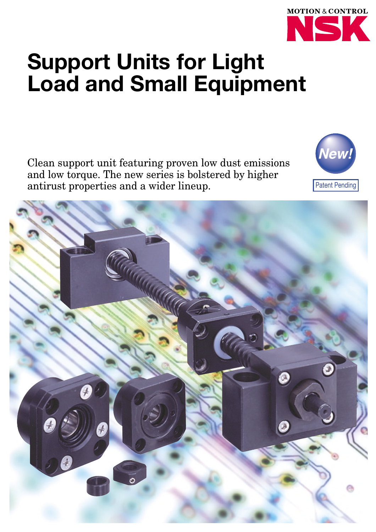

# **Support Units for Light Load and Small Equipment**

Clean support unit featuring proven low dust emissions and low torque. The new series is bolstered by higher antirust properties and a wider lineup.



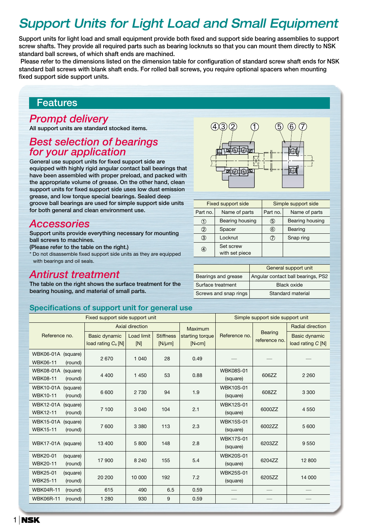# *Support Units for Light Load and Small Equipment*

**Support units for light load and small equipment provide both fixed and support side bearing assemblies to support screw shafts. They provide all required parts such as bearing locknuts so that you can mount them directly to NSK standard ball screws, of which shaft ends are machined.**

**Please refer to the dimensions listed on the dimension table for configuration of standard screw shaft ends for NSK standard ball screws with blank shaft ends. For rolled ball screws, you require optional spacers when mounting fixed support side support units.**

### **Features**

### *Prompt delivery*

**All support units are standard stocked items.** 

### *Best selection of bearings for your application*

**General use support units for fixed support side are equipped with highly rigid angular contact ball bearings that have been assembled with proper preload, and packed with the appropriate volume of grease. On the other hand, clean support units for fixed support side uses low dust emission grease, and low torque special bearings. Sealed deep groove ball bearings are used for simple support side units for both general and clean environment use.** 

### *Accessories*

**Support units provide everything necessary for mounting ball screws to machines.**

**(Please refer to the table on the right.)** 

\* Do not disassemble fixed support side units as they are equipped with bearings and oil seals.

### *Antirust treatment*

**The table on the right shows the surface treatment for the bearing housing, and material of small parts.**



|          | <b>Fixed support side</b>   |          | Simple support side |
|----------|-----------------------------|----------|---------------------|
| Part no. | Name of parts               | Part no. | Name of parts       |
| (1)      | Bearing housing             | (5)      | Bearing housing     |
| ②        | Spacer                      | (6)      | Bearing             |
| ③        | Locknut                     | (7)      | Snap ring           |
| 4        | Set screw<br>with set piece |          |                     |

|                       | General support unit               |
|-----------------------|------------------------------------|
| Bearings and grease   | Angular contact ball bearings, PS2 |
| Surface treatment     | Black oxide                        |
| Screws and snap rings | Standard material                  |

#### **Specifications of support unit for general use**

|                                                            | Fixed support side support unit                        |                   |                                 |                             |                              | Simple support side support unit |                                           |
|------------------------------------------------------------|--------------------------------------------------------|-------------------|---------------------------------|-----------------------------|------------------------------|----------------------------------|-------------------------------------------|
|                                                            |                                                        | Axial direction   |                                 | Maximum                     |                              | <b>Bearing</b>                   | <b>Radial direction</b>                   |
| Reference no.                                              | <b>Basic dynamic</b><br>load rating C <sub>a</sub> [N] | Load limit<br>[N] | <b>Stiffness</b><br>$[N/\mu m]$ | starting torque<br>$[N-cm]$ | Reference no.                |                                  | <b>Basic dynamic</b><br>load rating C [N] |
| WBK06-01A (square)<br><b>WBK06-11</b><br>(round)           | 2670                                                   | 1 0 4 0           | 28                              | 0.49                        |                              |                                  |                                           |
| WBK08-01A<br>(square)<br><b>WBK08-11</b><br>(round)        | 4 4 0 0                                                | 1 4 5 0           | 53                              | 0.88                        | <b>WBK08S-01</b><br>(square) | 606ZZ                            | 2 2 6 0                                   |
| WBK10-01A (square)<br><b>WBK10-11</b><br>(round)           | 6 600                                                  | 2 7 3 0           | 94                              | 1.9                         | <b>WBK10S-01</b><br>(square) | 608ZZ                            | 3 3 0 0                                   |
| <b>WBK12-01A</b><br>(square)<br><b>WBK12-11</b><br>(round) | 7 100                                                  | 3 0 4 0           | 104                             | 2.1                         | <b>WBK12S-01</b><br>(square) | 6000ZZ                           | 4 5 5 0                                   |
| <b>WBK15-01A</b><br>(square)<br><b>WBK15-11</b><br>(round) | 7600                                                   | 3 3 8 0           | 113                             | 2.3                         | <b>WBK15S-01</b><br>(square) | 6002ZZ                           | 5 600                                     |
| WBK17-01A (square)                                         | 13 400                                                 | 5 800             | 148                             | 2.8                         | <b>WBK17S-01</b><br>(square) | 6203ZZ                           | 9550                                      |
| <b>WBK20-01</b><br>(square)<br><b>WBK20-11</b><br>(round)  | 17 900                                                 | 8 2 4 0           | 155                             | 5.4                         | <b>WBK20S-01</b><br>(square) | 6204ZZ                           | 12 800                                    |
| <b>WBK25-01</b><br>(square)<br><b>WBK25-11</b><br>(round)  | 20 200                                                 | 10 000            | 192                             | 7.2                         | <b>WBK25S-01</b><br>(square) | 6205ZZ                           | 14 000                                    |
| <b>WBK04R-11</b><br>(round)                                | 615                                                    | 490               | 6.5                             | 0.59                        |                              |                                  |                                           |
| <b>WBK06R-11</b><br>(round)                                | 1 2 8 0                                                | 930               | 9                               | 0.59                        |                              |                                  |                                           |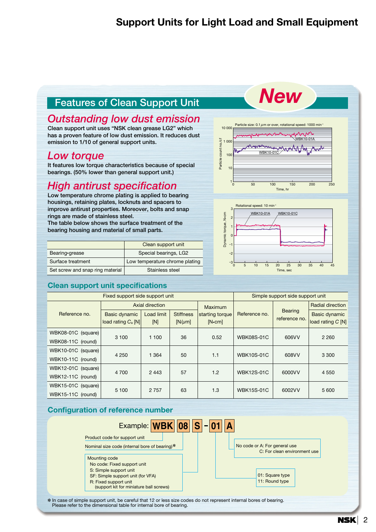### **Support Units for Light Load and Small Equipment**

### **Features of Clean Support Unit**

### *Outstanding low dust emission*

**Clean support unit uses "NSK clean grease LG2" which has a proven feature of low dust emission. It reduces dust emission to 1/10 of general support units.** 

### *Low torque*

**It features low torque characteristics because of special bearings. (50% lower than general support unit.)** 

### *High antirust specification*

**Low temperature chrome plating is applied to bearing housings, retaining plates, locknuts and spacers to improve antirust properties. Moreover, bolts and snap rings are made of stainless steel. The table below shows the surface treatment of the**

**bearing housing and material of small parts.**

|                                  | Clean support unit             |
|----------------------------------|--------------------------------|
| Bearing grease                   | Special bearings, LG2          |
| Surface treatment                | Low temperature chrome plating |
| Set screw and snap ring material | Stainless steel                |

#### **Clean support unit specifications**



*New*



|                    | Fixed support side support unit        |                   | Simple support side support unit |                             |                   |                                 |                                    |  |
|--------------------|----------------------------------------|-------------------|----------------------------------|-----------------------------|-------------------|---------------------------------|------------------------------------|--|
|                    |                                        | Axial direction   |                                  | <b>Maximum</b>              |                   |                                 | <b>Radial direction</b>            |  |
| Reference no.      | Basic dynamic<br>load rating $C_a$ [N] | Load limit<br>[N] | <b>Stiffness</b><br>$[N/\mu m]$  | starting torque<br>$[N-cm]$ | Reference no.     | <b>Bearing</b><br>reference no. | Basic dynamic<br>load rating C [N] |  |
| WBK08-01C (square) |                                        |                   |                                  |                             |                   |                                 |                                    |  |
| WBK08-11C (round)  | 3 100                                  | 1 100             | 36                               | 0.52                        | <b>WBK08S-01C</b> | 606VV                           | 2 2 6 0                            |  |
| WBK10-01C (square) | 4 2 5 0                                | 1 3 6 4           | 50                               | 1.1                         | <b>WBK10S-01C</b> | 608VV                           | 3 3 0 0                            |  |
| WBK10-11C (round)  |                                        |                   |                                  |                             |                   |                                 |                                    |  |
| WBK12-01C (square) | 4 700                                  | 2 4 4 3           | 57                               | 1.2                         | <b>WBK12S-01C</b> | 6000VV                          | 4 5 5 0                            |  |
| WBK12-11C (round)  |                                        |                   |                                  |                             |                   |                                 |                                    |  |
| WBK15-01C (square) | 5 100                                  | 2 7 5 7           | 63                               | 1.3                         | <b>WBK15S-01C</b> | 6002VV                          | 5 600                              |  |
| WBK15-11C (round)  |                                        |                   |                                  |                             |                   |                                 |                                    |  |

#### **Configuration of reference number**



✽ In case of simple support unit, be careful that 12 or less size codes do not represent internal bores of bearing. Please refer to the dimensional table for internal bore of bearing.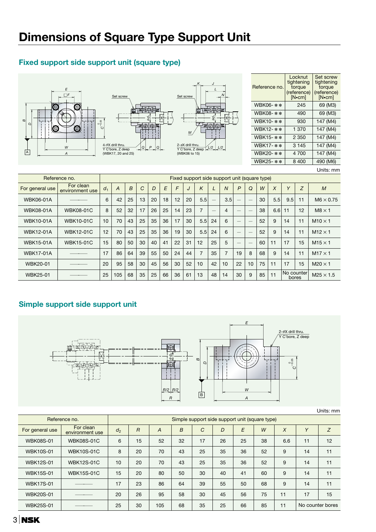### **Fixed support side support unit (square type)**



### **Simple support side support unit**



Units: mm

|                  |                              |                                                |    |     |    |               |    |    |    |     |    | <u>UHRU. IIIII</u> |  |  |
|------------------|------------------------------|------------------------------------------------|----|-----|----|---------------|----|----|----|-----|----|--------------------|--|--|
|                  | Reference no.                | Simple support side support unit (square type) |    |     |    |               |    |    |    |     |    |                    |  |  |
| For general use  | For clean<br>environment use | $d_2$                                          | R  | A   | B  | $\mathcal{C}$ | D  | E  | W  | X   | Y  | Z                  |  |  |
| <b>WBK08S-01</b> | <b>WBK08S-01C</b>            | 6                                              | 15 | 52  | 32 | 17            | 26 | 25 | 38 | 6.6 | 11 | 12                 |  |  |
| <b>WBK10S-01</b> | <b>WBK10S-01C</b>            | 8                                              | 20 | 70  | 43 | 25            | 35 | 36 | 52 | 9   | 14 | 11                 |  |  |
| <b>WBK12S-01</b> | <b>WBK12S-01C</b>            | 10                                             | 20 | 70  | 43 | 25            | 35 | 36 | 52 | 9   | 14 | 11                 |  |  |
| <b>WBK15S-01</b> | <b>WBK15S-01C</b>            | 15                                             | 20 | 80  | 50 | 30            | 40 | 41 | 60 | 9   | 14 | 11                 |  |  |
| <b>WBK17S-01</b> |                              | 17                                             | 23 | 86  | 64 | 39            | 55 | 50 | 68 | 9   | 14 | 11                 |  |  |
| <b>WBK20S-01</b> |                              | 20                                             | 26 | 95  | 58 | 30            | 45 | 56 | 75 | 11  | 17 | 15                 |  |  |
| <b>WBK25S-01</b> |                              | 25                                             | 30 | 105 | 68 | 35            | 25 | 66 | 85 | 11  |    | No counter bores   |  |  |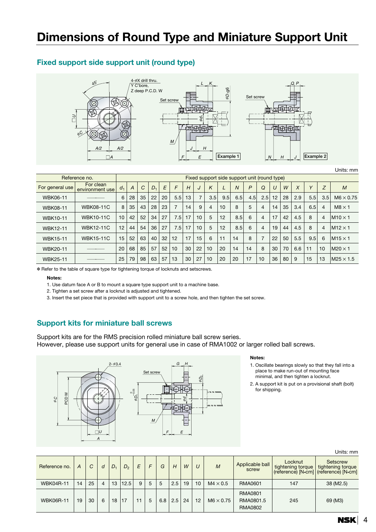# **Dimensions of Round Type and Miniature Support Unit**

#### **Fixed support side support unit (round type)**



|                 | Reference no.                |                |    |    |                |    |     |    |                |     | Fixed support side support unit (round type) |                |              |                |        |    |     |        |                |                  |
|-----------------|------------------------------|----------------|----|----|----------------|----|-----|----|----------------|-----|----------------------------------------------|----------------|--------------|----------------|--------|----|-----|--------|----------------|------------------|
| For general use | For clean<br>environment use | d <sub>1</sub> | A  | C  | D <sub>1</sub> | E  | F   | H  | J              | K   | ட                                            | $\overline{N}$ | $\mathsf{P}$ | $\Omega$       | $\cup$ | W  | X   | $\vee$ | Z              | $\overline{M}$   |
| WBK06-11        |                              | 6              | 28 | 35 | 22             | 20 | 5.5 | 13 | $\overline{7}$ | 3.5 | 9.5                                          | 6.5            | 4.5          | 2.5            | 12     | 28 | 2.9 | 5.5    | 3.5            | $M6 \times 0.75$ |
| <b>WBK08-11</b> | <b>WBK08-11C</b>             | 8              | 35 | 43 | 28             | 23 | 7   | 14 | 9              | 4   | 10                                           | 8              | 5            | 4              | 14     | 35 | 3.4 | 6.5    | $\overline{4}$ | $M8 \times 1$    |
| <b>WBK10-11</b> | <b>WBK10-11C</b>             | 10             | 42 | 52 | 34             | 27 | 7.5 | 17 | 10             | 5   | 12                                           | 8.5            | 6            | $\overline{4}$ | 17     | 42 | 4.5 | 8      | $\overline{4}$ | $M10 \times 1$   |
| <b>WBK12-11</b> | <b>WBK12-11C</b>             | 12             | 44 | 54 | 36             | 27 | 7.5 | 17 | 10             | 5   | 12                                           | 8.5            | 6            | 4              | 19     | 44 | 4.5 | 8      | $\overline{4}$ | $M12 \times 1$   |
| <b>WBK15-11</b> | <b>WBK15-11C</b>             | 15             | 52 | 63 | 40             | 32 | 12  | 17 | 15             | 6   | 11                                           | 14             | 8            |                | 22     | 50 | 5.5 | 9.5    | 6              | $M15 \times 1$   |
| <b>WBK20-11</b> |                              | 20             | 68 | 85 | 57             | 52 | 10  | 30 | 22             | 10  | 20                                           | 14             | 14           | 8              | 30     | 70 | 6.6 | 11     | 10             | $M20 \times 1$   |
| <b>WBK25-11</b> |                              | 25             | 79 | 98 | 63             | 57 | 13  | 30 | 27             | 10  | 20                                           | 20             | 17           | 10             | 36     | 80 | 9   | 15     | 13             | $M25 \times 1.5$ |

✽ Refer to the table of square type for tightening torque of locknuts and setscrews.

#### **Notes:**

1. Use datum face A or B to mount a square type support unit to a machine base.

2. Tighten a set screw after a locknut is adjusted and tightened.

3. Insert the set piece that is provided with support unit to a screw hole, and then tighten the set screw.

#### **Support kits for miniature ball screws**

Support kits are for the RMS precision rolled miniature ball screw series. However, please use support units for general use in case of RMA1002 or larger rolled ball screws.



#### **Notes:**

- 1. Oscillate bearings slowly so that they fall into a place to make run-out of mounting face minimal, and then tighten a locknut.
- 2. A support kit is put on a provisional shaft (bolt) for shipping.

|  | Units: mm |  |
|--|-----------|--|
|--|-----------|--|

| Reference no.    | А  |    | $\overline{a}$ | D. | $D_{\alpha}$ | F | F | G   | Н   | W  | U  | M                | Applicable ball<br>screw                      | Locknut<br>tightening torque | Setscrew<br>tightening torque<br>(reference) [N•cm] (reference) [N•cm] |
|------------------|----|----|----------------|----|--------------|---|---|-----|-----|----|----|------------------|-----------------------------------------------|------------------------------|------------------------------------------------------------------------|
| <b>WBK04R-11</b> | 14 | 25 | 4              | 13 | 12.5         | 9 | 5 | 5   | 2.5 | 19 | 10 | $M4 \times 0.5$  | <b>RMA0601</b>                                | 147                          | 38 (M2.5)                                                              |
| <b>WBK06R-11</b> | 19 | 30 | 6              | 18 | 17           |   | 5 | 6.8 | 2.5 | 24 | 12 | $M6 \times 0.75$ | <b>RMA0801</b><br>RMA0801.5<br><b>RMA0802</b> | 245                          | 69 (M3)                                                                |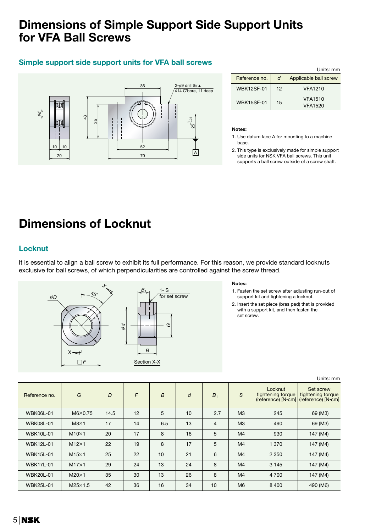### **Dimensions of Simple Support Side Support Units for VFA Ball Screws**

### **Simple support side support units for VFA ball screws**



|                   |    | Units: mm                 |
|-------------------|----|---------------------------|
| Reference no.     | d  | Applicable ball screw     |
| <b>WBK12SF-01</b> | 12 | <b>VFA1210</b>            |
| <b>WBK15SF-01</b> | 15 | <b>VFA1510</b><br>VFA1520 |

#### **Notes:**

1. Use datum face A for mounting to a machine base.

2. This type is exclusively made for simple support side units for NSK VFA ball screws. This unit supports a ball screw outside of a screw shaft.

# **Dimensions of Locknut**

### **Locknut**

It is essential to align a ball screw to exhibit its full performance. For this reason, we provide standard locknuts exclusive for ball screws, of which perpendicularities are controlled against the screw thread.



#### **Notes:**

- 1. Fasten the set screw after adjusting run-out of support kit and tightening a locknut.
- 2. Insert the set piece (bras pad) that is provided with a support kit, and then fasten the set screw.

| Reference no.    | G              | D    | F  | $\boldsymbol{B}$ | d  | B <sub>1</sub> | S              | Locknut<br>tightening torque | Set screw<br>tightening torque<br>(reference) [N-cm] (reference) [N-cm] |
|------------------|----------------|------|----|------------------|----|----------------|----------------|------------------------------|-------------------------------------------------------------------------|
| <b>WBK06L-01</b> | $M6\times0.75$ | 14.5 | 12 | 5                | 10 | 2.7            | M <sub>3</sub> | 245                          | 69 (M3)                                                                 |
| <b>WBK08L-01</b> | $M8\times1$    | 17   | 14 | 6.5              | 13 | $\overline{4}$ | M <sub>3</sub> | 490                          | 69 (M3)                                                                 |
| <b>WBK10L-01</b> | $M10\times1$   | 20   | 17 | 8                | 16 | 5              | M <sub>4</sub> | 930                          | 147 (M4)                                                                |
| <b>WBK12L-01</b> | $M12\times1$   | 22   | 19 | 8                | 17 | 5              | M <sub>4</sub> | 1 3 7 0                      | 147 (M4)                                                                |
| <b>WBK15L-01</b> | $M15\times1$   | 25   | 22 | 10               | 21 | 6              | M <sub>4</sub> | 2 3 5 0                      | 147 (M4)                                                                |
| <b>WBK17L-01</b> | $M17\times1$   | 29   | 24 | 13               | 24 | 8              | M <sub>4</sub> | 3 1 4 5                      | 147 (M4)                                                                |
| <b>WBK20L-01</b> | $M20\times1$   | 35   | 30 | 13               | 26 | 8              | M <sub>4</sub> | 4 700                        | 147 (M4)                                                                |
| <b>WBK25L-01</b> | $M25\times1.5$ | 42   | 36 | 16               | 34 | 10             | M <sub>6</sub> | 8 4 0 0                      | 490 (M6)                                                                |